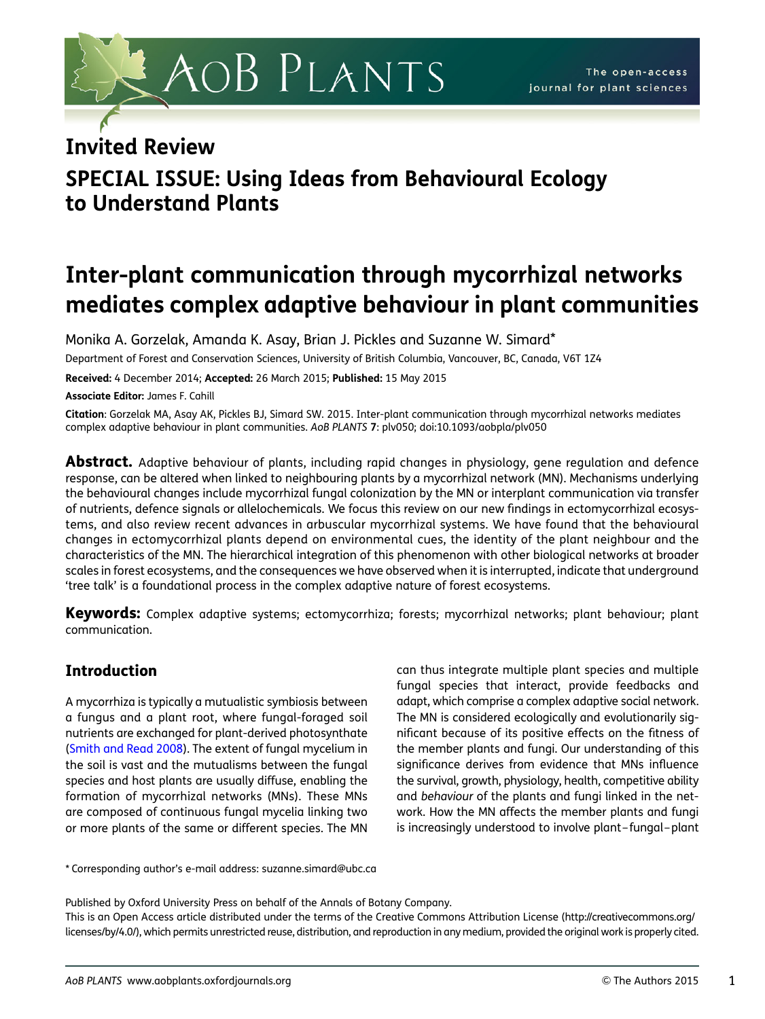# AOB PLANTS

# Invited Review

# SPECIAL ISSUE: Using Ideas from Behavioural Ecology to Understand Plants

# Inter-plant communication through mycorrhizal networks mediates complex adaptive behaviour in plant communities

Monika A. Gorzelak, Amanda K. Asay, Brian J. Pickles and Suzanne W. Simard\*

Department of Forest and Conservation Sciences, University of British Columbia, Vancouver, BC, Canada, V6T 1Z4

Received: 4 December 2014; Accepted: 26 March 2015; Published: 15 May 2015

Associate Editor: James F. Cahill

Citation: Gorzelak MA, Asay AK, Pickles BJ, Simard SW. 2015. Inter-plant communication through mycorrhizal networks mediates complex adaptive behaviour in plant communities. AoB PLANTS 7: plv050; doi:10.1093/aobpla/plv050

Abstract. Adaptive behaviour of plants, including rapid changes in physiology, gene regulation and defence response, can be altered when linked to neighbouring plants by a mycorrhizal network (MN). Mechanisms underlying the behavioural changes include mycorrhizal fungal colonization by the MN or interplant communication via transfer of nutrients, defence signals or allelochemicals. We focus this review on our new findings in ectomycorrhizal ecosystems, and also review recent advances in arbuscular mycorrhizal systems. We have found that the behavioural changes in ectomycorrhizal plants depend on environmental cues, the identity of the plant neighbour and the characteristics of the MN. The hierarchical integration of this phenomenon with other biological networks at broader scales in forest ecosystems, and the consequences we have observed when it is interrupted, indicate that underground 'tree talk' is a foundational process in the complex adaptive nature of forest ecosystems.

Keywords: Complex adaptive systems; ectomycorrhiza; forests; mycorrhizal networks; plant behaviour; plant communication.

# Introduction

A mycorrhiza is typically a mutualistic symbiosis between a fungus and a plant root, where fungal-foraged soil nutrients are exchanged for plant-derived photosynthate [\(Smith and Read 2008\)](#page-11-0). The extent of fungal mycelium in the soil is vast and the mutualisms between the fungal species and host plants are usually diffuse, enabling the formation of mycorrhizal networks (MNs). These MNs are composed of continuous fungal mycelia linking two or more plants of the same or different species. The MN

can thus integrate multiple plant species and multiple fungal species that interact, provide feedbacks and adapt, which comprise a complex adaptive social network. The MN is considered ecologically and evolutionarily significant because of its positive effects on the fitness of the member plants and fungi. Our understanding of this significance derives from evidence that MNs influence the survival, growth, physiology, health, competitive ability and behaviour of the plants and fungi linked in the network. How the MN affects the member plants and fungi is increasingly understood to involve plant– fungal–plant

\* Corresponding author's e-mail address: suzanne.simard@ubc.ca

Published by Oxford University Press on behalf of the Annals of Botany Company.

This is an Open Access article distributed under the terms of the Creative Commons Attribution License [\(http://creativecommons.org/](http://creativecommons.org/licenses/by/4.0/) [licenses/by/4.0/\)](http://creativecommons.org/licenses/by/4.0/), which permits unrestricted reuse, distribution, and reproduction in any medium, provided the original work is properly cited.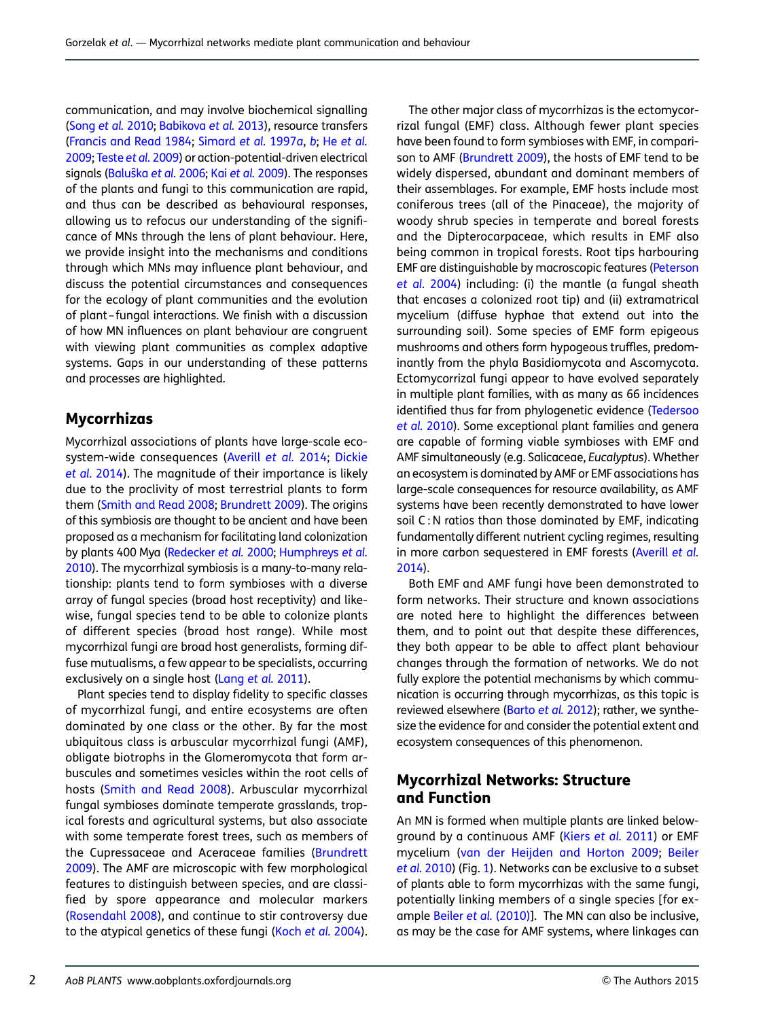communication, and may involve biochemical signalling [\(Song](#page-11-0) et al. 2010; [Babikova](#page-9-0) et al. 2013), resource transfers [\(Francis and Read 1984](#page-10-0); [Simard](#page-11-0) et al. 1997a, [b](#page-11-0); He [et al.](#page-10-0) [2009;](#page-10-0) [Teste](#page-11-0) et al. 2009) or action-potential-driven electrical signals (Baluŝka et al. 2006; Kai et al. [2009](#page-10-0)). The responses of the plants and fungi to this communication are rapid, and thus can be described as behavioural responses, allowing us to refocus our understanding of the significance of MNs through the lens of plant behaviour. Here, we provide insight into the mechanisms and conditions through which MNs may influence plant behaviour, and discuss the potential circumstances and consequences for the ecology of plant communities and the evolution of plant– fungal interactions. We finish with a discussion of how MN influences on plant behaviour are congruent with viewing plant communities as complex adaptive systems. Gaps in our understanding of these patterns and processes are highlighted.

## Mycorrhizas

Mycorrhizal associations of plants have large-scale ecosystem-wide consequences ([Averill](#page-9-0) et al. 2014; [Dickie](#page-9-0) et al. [2014\)](#page-9-0). The magnitude of their importance is likely due to the proclivity of most terrestrial plants to form them ([Smith and Read 2008](#page-11-0); [Brundrett 2009](#page-9-0)). The origins of this symbiosis are thought to be ancient and have been proposed as a mechanism for facilitating land colonization by plants 400 Mya ([Redecker](#page-11-0) et al. 2000; [Humphreys](#page-10-0) et al. [2010\)](#page-10-0). The mycorrhizal symbiosis is a many-to-many relationship: plants tend to form symbioses with a diverse array of fungal species (broad host receptivity) and likewise, fungal species tend to be able to colonize plants of different species (broad host range). While most mycorrhizal fungi are broad host generalists, forming diffuse mutualisms, a few appear to be specialists, occurring exclusively on a single host (Lang et al. [2011\)](#page-10-0).

Plant species tend to display fidelity to specific classes of mycorrhizal fungi, and entire ecosystems are often dominated by one class or the other. By far the most ubiquitous class is arbuscular mycorrhizal fungi (AMF), obligate biotrophs in the Glomeromycota that form arbuscules and sometimes vesicles within the root cells of hosts ([Smith and Read 2008](#page-11-0)). Arbuscular mycorrhizal fungal symbioses dominate temperate grasslands, tropical forests and agricultural systems, but also associate with some temperate forest trees, such as members of the Cupressaceae and Aceraceae families ([Brundrett](#page-9-0) [2009](#page-9-0)). The AMF are microscopic with few morphological features to distinguish between species, and are classified by spore appearance and molecular markers [\(Rosendahl 2008\)](#page-11-0), and continue to stir controversy due to the atypical genetics of these fungi (Koch et al. [2004](#page-10-0)).

The other major class of mycorrhizas is the ectomycorrizal fungal (EMF) class. Although fewer plant species have been found to form symbioses with EMF, in comparison to AMF [\(Brundrett 2009](#page-9-0)), the hosts of EMF tend to be widely dispersed, abundant and dominant members of their assemblages. For example, EMF hosts include most coniferous trees (all of the Pinaceae), the majority of woody shrub species in temperate and boreal forests and the Dipterocarpaceae, which results in EMF also being common in tropical forests. Root tips harbouring EMF are distinguishable by macroscopic features ([Peterson](#page-11-0) [et al.](#page-11-0) 2004) including: (i) the mantle (a fungal sheath that encases a colonized root tip) and (ii) extramatrical mycelium (diffuse hyphae that extend out into the surrounding soil). Some species of EMF form epigeous mushrooms and others form hypogeous truffles, predominantly from the phyla Basidiomycota and Ascomycota. Ectomycorrizal fungi appear to have evolved separately in multiple plant families, with as many as 66 incidences identified thus far from phylogenetic evidence [\(Tedersoo](#page-11-0) et al. [2010\)](#page-11-0). Some exceptional plant families and genera are capable of forming viable symbioses with EMF and AMF simultaneously (e.g. Salicaceae, Eucalyptus). Whether an ecosystem is dominated by AMF or EMF associations has large-scale consequences for resource availability, as AMF systems have been recently demonstrated to have lower soil C: N ratios than those dominated by EMF, indicating fundamentally different nutrient cycling regimes, resulting in more carbon sequestered in EMF forests [\(Averill](#page-9-0) et al. [2014](#page-9-0)).

Both EMF and AMF fungi have been demonstrated to form networks. Their structure and known associations are noted here to highlight the differences between them, and to point out that despite these differences, they both appear to be able to affect plant behaviour changes through the formation of networks. We do not fully explore the potential mechanisms by which communication is occurring through mycorrhizas, as this topic is reviewed elsewhere ([Barto](#page-9-0) et al. 2012); rather, we synthesize the evidence for and consider the potential extent and ecosystem consequences of this phenomenon.

## Mycorrhizal Networks: Structure and Function

An MN is formed when multiple plants are linked belowground by a continuous AMF (Kiers [et al.](#page-10-0) 2011) or EMF mycelium ([van der Heijden and Horton 2009](#page-12-0); [Beiler](#page-9-0) et al. [2010\)](#page-9-0) (Fig. [1](#page-2-0)). Networks can be exclusive to a subset of plants able to form mycorrhizas with the same fungi, potentially linking members of a single species [for example Beiler et al. [\(2010\)](#page-9-0)]. The MN can also be inclusive, as may be the case for AMF systems, where linkages can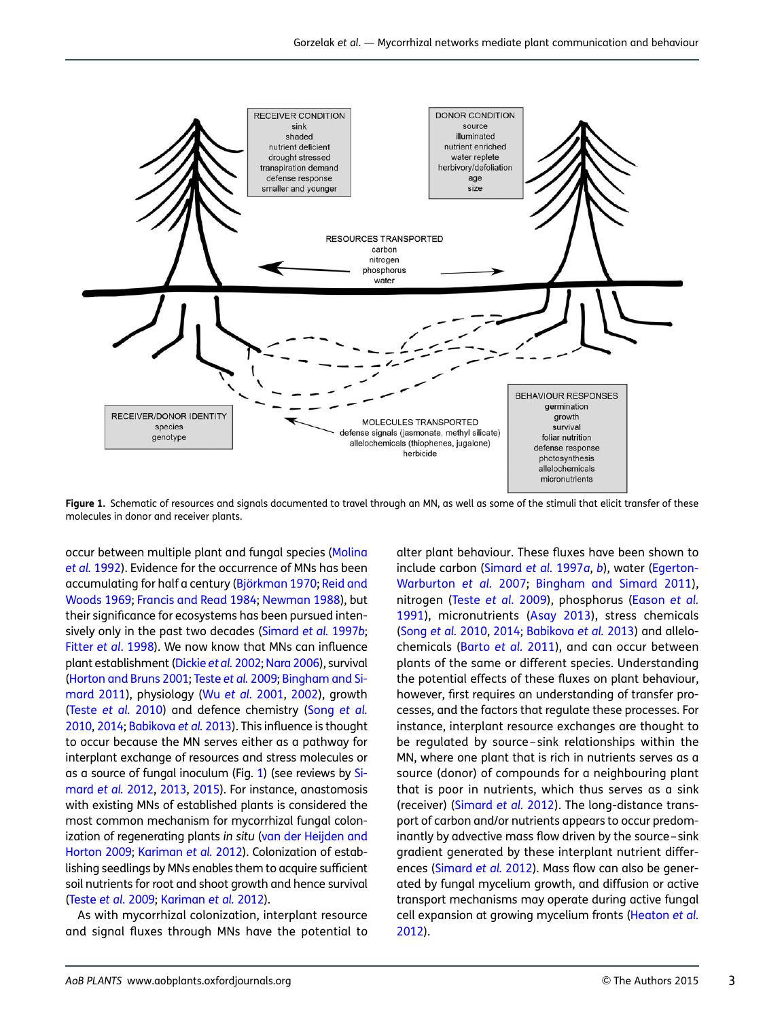<span id="page-2-0"></span>

Figure 1. Schematic of resources and signals documented to travel through an MN, as well as some of the stimuli that elicit transfer of these molecules in donor and receiver plants.

occur between multiple plant and fungal species ([Molina](#page-10-0) et al. [1992](#page-10-0)). Evidence for the occurrence of MNs has been accumulating for half a century (Björkman 1970; [Reid and](#page-11-0) [Woods 1969](#page-11-0); [Francis and Read 1984;](#page-10-0) [Newman 1988\)](#page-10-0), but their significance for ecosystems has been pursued inten-sively only in the past two decades [\(Simard](#page-11-0) et al. 1997b; Fitter et al[. 1998\)](#page-10-0). We now know that MNs can influence plant establishment ([Dickie](#page-9-0) et al. 2002; [Nara 2006\)](#page-10-0), survival [\(Horton and Bruns 2001](#page-10-0); [Teste](#page-11-0) et al. 2009; [Bingham and Si](#page-9-0)[mard 2011\)](#page-9-0), physiology (Wu [et al.](#page-12-0) 2001, [2002\)](#page-12-0), growth (Teste [et al.](#page-12-0) 2010) and defence chemistry (Song [et al.](#page-11-0) [2010,](#page-11-0) [2014](#page-11-0); [Babikova](#page-9-0) et al. 2013). This influence is thought to occur because the MN serves either as a pathway for interplant exchange of resources and stress molecules or as a source of fungal inoculum (Fig. 1) (see reviews by [Si](#page-11-0)[mard](#page-11-0) et al. 2012, [2013](#page-11-0), [2015](#page-11-0)). For instance, anastomosis with existing MNs of established plants is considered the most common mechanism for mycorrhizal fungal colonization of regenerating plants in situ ([van der Heijden and](#page-12-0) [Horton 2009;](#page-12-0) [Kariman](#page-10-0) et al. 2012). Colonization of establishing seedlings by MNs enables them to acquire sufficient soil nutrients for root and shoot growth and hence survival (Teste et al[. 2009;](#page-11-0) [Kariman](#page-10-0) et al. 2012).

As with mycorrhizal colonization, interplant resource and signal fluxes through MNs have the potential to

alter plant behaviour. These fluxes have been shown to include carbon [\(Simard](#page-11-0) et al. 1997a, [b](#page-11-0)), water [\(Egerton-](#page-10-0)[Warburton](#page-10-0) et al. 2007; [Bingham and Simard 2011\)](#page-9-0), nitrogen (Teste [et al.](#page-11-0) 2009), phosphorus [\(Eason](#page-10-0) et al. [1991](#page-10-0)), micronutrients ([Asay 2013](#page-9-0)), stress chemicals ([Song](#page-11-0) et al. 2010, [2014](#page-11-0); [Babikova](#page-9-0) et al. 2013) and allelochemicals ([Barto](#page-9-0) et al. 2011), and can occur between plants of the same or different species. Understanding the potential effects of these fluxes on plant behaviour, however, first requires an understanding of transfer processes, and the factors that regulate these processes. For instance, interplant resource exchanges are thought to be regulated by source – sink relationships within the MN, where one plant that is rich in nutrients serves as a source (donor) of compounds for a neighbouring plant that is poor in nutrients, which thus serves as a sink (receiver) [\(Simard](#page-11-0) et al. 2012). The long-distance transport of carbon and/or nutrients appears to occur predominantly by advective mass flow driven by the source –sink gradient generated by these interplant nutrient differences ([Simard](#page-11-0) et al. 2012). Mass flow can also be generated by fungal mycelium growth, and diffusion or active transport mechanisms may operate during active fungal cell expansion at growing mycelium fronts [\(Heaton](#page-10-0) et al. [2012\)](#page-10-0).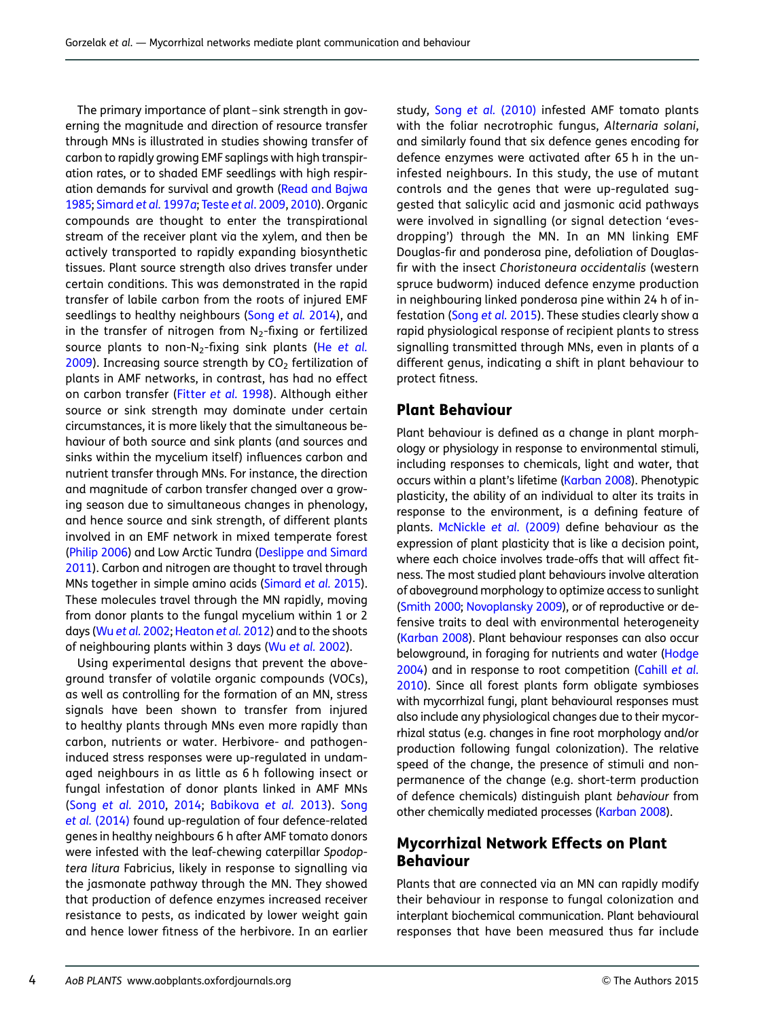The primary importance of plant–sink strength in governing the magnitude and direction of resource transfer through MNs is illustrated in studies showing transfer of carbon to rapidly growing EMF saplings with high transpiration rates, or to shaded EMF seedlings with high respiration demands for survival and growth ([Read and Bajwa](#page-11-0) [1985](#page-11-0); [Simard](#page-11-0) et al. 1997a; Teste et al[. 2009](#page-11-0), [2010](#page-12-0)). Organic compounds are thought to enter the transpirational stream of the receiver plant via the xylem, and then be actively transported to rapidly expanding biosynthetic tissues. Plant source strength also drives transfer under certain conditions. This was demonstrated in the rapid transfer of labile carbon from the roots of injured EMF seedlings to healthy neighbours (Song et al. [2014\)](#page-11-0), and in the transfer of nitrogen from  $N_2$ -fixing or fertilized source plants to non-N<sub>2</sub>-fixing sink plants (He [et al.](#page-10-0)  $2009$ ). Increasing source strength by  $CO<sub>2</sub>$  fertilization of plants in AMF networks, in contrast, has had no effect on carbon transfer ([Fitter](#page-10-0) et al. 1998). Although either source or sink strength may dominate under certain circumstances, it is more likely that the simultaneous behaviour of both source and sink plants (and sources and sinks within the mycelium itself) influences carbon and nutrient transfer through MNs. For instance, the direction and magnitude of carbon transfer changed over a growing season due to simultaneous changes in phenology, and hence source and sink strength, of different plants involved in an EMF network in mixed temperate forest [\(Philip 2006\)](#page-11-0) and Low Arctic Tundra [\(Deslippe and Simard](#page-9-0) [2011\)](#page-9-0). Carbon and nitrogen are thought to travel through MNs together in simple amino acids ([Simard](#page-11-0) et al. 2015). These molecules travel through the MN rapidly, moving from donor plants to the fungal mycelium within 1 or 2 days (Wu et al. [2002](#page-12-0); [Heaton](#page-10-0) et al. 2012) and to the shoots of neighbouring plants within 3 days (Wu et al. [2002](#page-12-0)).

Using experimental designs that prevent the aboveground transfer of volatile organic compounds (VOCs), as well as controlling for the formation of an MN, stress signals have been shown to transfer from injured to healthy plants through MNs even more rapidly than carbon, nutrients or water. Herbivore- and pathogeninduced stress responses were up-regulated in undamaged neighbours in as little as 6 h following insect or fungal infestation of donor plants linked in AMF MNs (Song [et al.](#page-11-0) 2010, [2014;](#page-11-0) [Babikova](#page-9-0) et al. 2013). [Song](#page-11-0) et al. [\(2014\)](#page-11-0) found up-regulation of four defence-related genes in healthy neighbours 6 h after AMF tomato donors were infested with the leaf-chewing caterpillar Spodoptera litura Fabricius, likely in response to signalling via the jasmonate pathway through the MN. They showed that production of defence enzymes increased receiver resistance to pests, as indicated by lower weight gain and hence lower fitness of the herbivore. In an earlier

study, Song et al. [\(2010\)](#page-11-0) infested AMF tomato plants with the foliar necrotrophic fungus, Alternaria solani, and similarly found that six defence genes encoding for defence enzymes were activated after 65 h in the uninfested neighbours. In this study, the use of mutant controls and the genes that were up-regulated suggested that salicylic acid and jasmonic acid pathways were involved in signalling (or signal detection 'evesdropping') through the MN. In an MN linking EMF Douglas-fir and ponderosa pine, defoliation of Douglasfir with the insect Choristoneura occidentalis (western spruce budworm) induced defence enzyme production in neighbouring linked ponderosa pine within 24 h of in-festation (Song et al. [2015](#page-11-0)). These studies clearly show a rapid physiological response of recipient plants to stress signalling transmitted through MNs, even in plants of a different genus, indicating a shift in plant behaviour to protect fitness.

#### Plant Behaviour

Plant behaviour is defined as a change in plant morphology or physiology in response to environmental stimuli, including responses to chemicals, light and water, that occurs within a plant's lifetime [\(Karban 2008\)](#page-10-0). Phenotypic plasticity, the ability of an individual to alter its traits in response to the environment, is a defining feature of plants. [McNickle](#page-10-0) et al. (2009) define behaviour as the expression of plant plasticity that is like a decision point, where each choice involves trade-offs that will affect fitness. The most studied plant behaviours involve alteration of aboveground morphology to optimize access to sunlight ([Smith 2000;](#page-11-0) [Novoplansky 2009\)](#page-11-0), or of reproductive or defensive traits to deal with environmental heterogeneity ([Karban 2008\)](#page-10-0). Plant behaviour responses can also occur belowground, in foraging for nutrients and water ([Hodge](#page-10-0) [2004](#page-10-0)) and in response to root competition ([Cahill](#page-9-0) et al. [2010](#page-9-0)). Since all forest plants form obligate symbioses with mycorrhizal fungi, plant behavioural responses must also include any physiological changes due to their mycorrhizal status (e.g. changes in fine root morphology and/or production following fungal colonization). The relative speed of the change, the presence of stimuli and nonpermanence of the change (e.g. short-term production of defence chemicals) distinguish plant behaviour from other chemically mediated processes [\(Karban 2008\)](#page-10-0).

# Mycorrhizal Network Effects on Plant Behaviour

Plants that are connected via an MN can rapidly modify their behaviour in response to fungal colonization and interplant biochemical communication. Plant behavioural responses that have been measured thus far include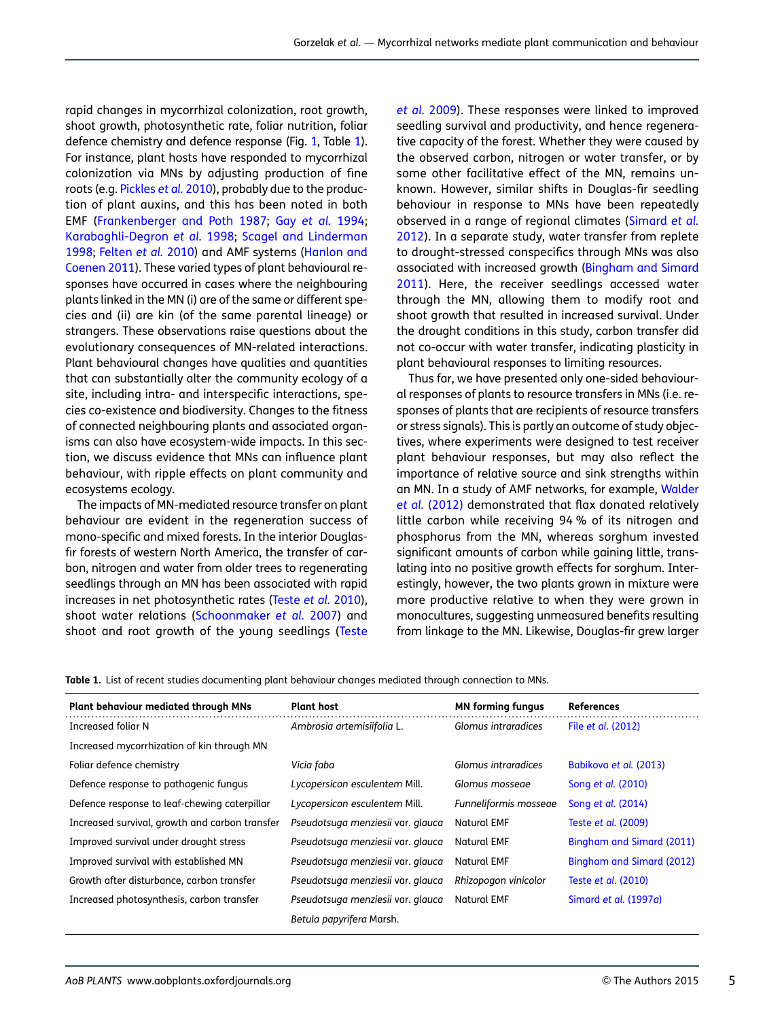rapid changes in mycorrhizal colonization, root growth, shoot growth, photosynthetic rate, foliar nutrition, foliar defence chemistry and defence response (Fig. [1](#page-2-0), Table 1). For instance, plant hosts have responded to mycorrhizal colonization via MNs by adjusting production of fine roots (e.g. [Pickles](#page-11-0) et al. 2010), probably due to the production of plant auxins, and this has been noted in both EMF ([Frankenberger and Poth 1987;](#page-10-0) Gay [et al.](#page-10-0) 1994; [Karabaghli-Degron](#page-10-0) et al. 1998; [Scagel and Linderman](#page-11-0) [1998](#page-11-0); [Felten](#page-10-0) et al. 2010) and AMF systems ([Hanlon and](#page-10-0) [Coenen 2011](#page-10-0)). These varied types of plant behavioural responses have occurred in cases where the neighbouring plants linked in the MN (i) are of the same or different species and (ii) are kin (of the same parental lineage) or strangers. These observations raise questions about the evolutionary consequences of MN-related interactions. Plant behavioural changes have qualities and quantities that can substantially alter the community ecology of a site, including intra- and interspecific interactions, species co-existence and biodiversity. Changes to the fitness of connected neighbouring plants and associated organisms can also have ecosystem-wide impacts. In this section, we discuss evidence that MNs can influence plant behaviour, with ripple effects on plant community and ecosystems ecology.

The impacts of MN-mediated resource transfer on plant behaviour are evident in the regeneration success of mono-specific and mixed forests. In the interior Douglasfir forests of western North America, the transfer of carbon, nitrogen and water from older trees to regenerating seedlings through an MN has been associated with rapid increases in net photosynthetic rates [\(Teste](#page-12-0) et al. 2010), shoot water relations [\(Schoonmaker](#page-11-0) et al. 2007) and shoot and root growth of the young seedlings [\(Teste](#page-11-0)

et al. [2009\)](#page-11-0). These responses were linked to improved seedling survival and productivity, and hence regenerative capacity of the forest. Whether they were caused by the observed carbon, nitrogen or water transfer, or by some other facilitative effect of the MN, remains unknown. However, similar shifts in Douglas-fir seedling behaviour in response to MNs have been repeatedly observed in a range of regional climates ([Simard](#page-11-0) et al. [2012](#page-11-0)). In a separate study, water transfer from replete to drought-stressed conspecifics through MNs was also associated with increased growth ([Bingham and Simard](#page-9-0) [2011](#page-9-0)). Here, the receiver seedlings accessed water through the MN, allowing them to modify root and shoot growth that resulted in increased survival. Under the drought conditions in this study, carbon transfer did not co-occur with water transfer, indicating plasticity in plant behavioural responses to limiting resources.

Thus far, we have presented only one-sided behavioural responses of plants to resource transfers in MNs (i.e. responses of plants that are recipients of resource transfers or stress signals). This is partly an outcome of study objectives, where experiments were designed to test receiver plant behaviour responses, but may also reflect the importance of relative source and sink strengths within an MN. In a study of AMF networks, for example, [Walder](#page-12-0) et al. [\(2012\)](#page-12-0) demonstrated that flax donated relatively little carbon while receiving 94 % of its nitrogen and phosphorus from the MN, whereas sorghum invested significant amounts of carbon while gaining little, translating into no positive growth effects for sorghum. Interestingly, however, the two plants grown in mixture were more productive relative to when they were grown in monocultures, suggesting unmeasured benefits resulting from linkage to the MN. Likewise, Douglas-fir grew larger

Table 1. List of recent studies documenting plant behaviour changes mediated through connection to MNs.

| <b>Plant behaviour mediated through MNs</b>    | <b>Plant host</b>                 | <b>MN</b> forming fungus | <b>References</b>         |
|------------------------------------------------|-----------------------------------|--------------------------|---------------------------|
| Increased foliar N                             | Ambrosia artemisiifolia L.        | Glomus intraradices      | File et al. (2012)        |
| Increased mycorrhization of kin through MN     |                                   |                          |                           |
| Foliar defence chemistry                       | Vicia faba                        | Glomus intraradices      | Babikova et al. (2013)    |
| Defence response to pathogenic fungus          | Lycopersicon esculentem Mill.     | Glomus mossege           | Song et al. (2010)        |
| Defence response to leaf-chewing caterpillar   | Lycopersicon esculentem Mill.     | Funneliformis mosseae    | Song et al. (2014)        |
| Increased survival, growth and carbon transfer | Pseudotsuga menziesii var. glauca | <b>Natural EMF</b>       | Teste et al. (2009)       |
| Improved survival under drought stress         | Pseudotsuga menziesii var. glauca | <b>Natural EMF</b>       | Bingham and Simard (2011) |
| Improved survival with established MN          | Pseudotsuga menziesii var. glauca | <b>Natural EMF</b>       | Bingham and Simard (2012) |
| Growth after disturbance, carbon transfer      | Pseudotsuga menziesii var. glauca | Rhizopogon vinicolor     | Teste et al. (2010)       |
| Increased photosynthesis, carbon transfer      | Pseudotsuga menziesii var. glauca | <b>Natural EMF</b>       | Simard et al. (1997a)     |
|                                                | Betula papyrifera Marsh.          |                          |                           |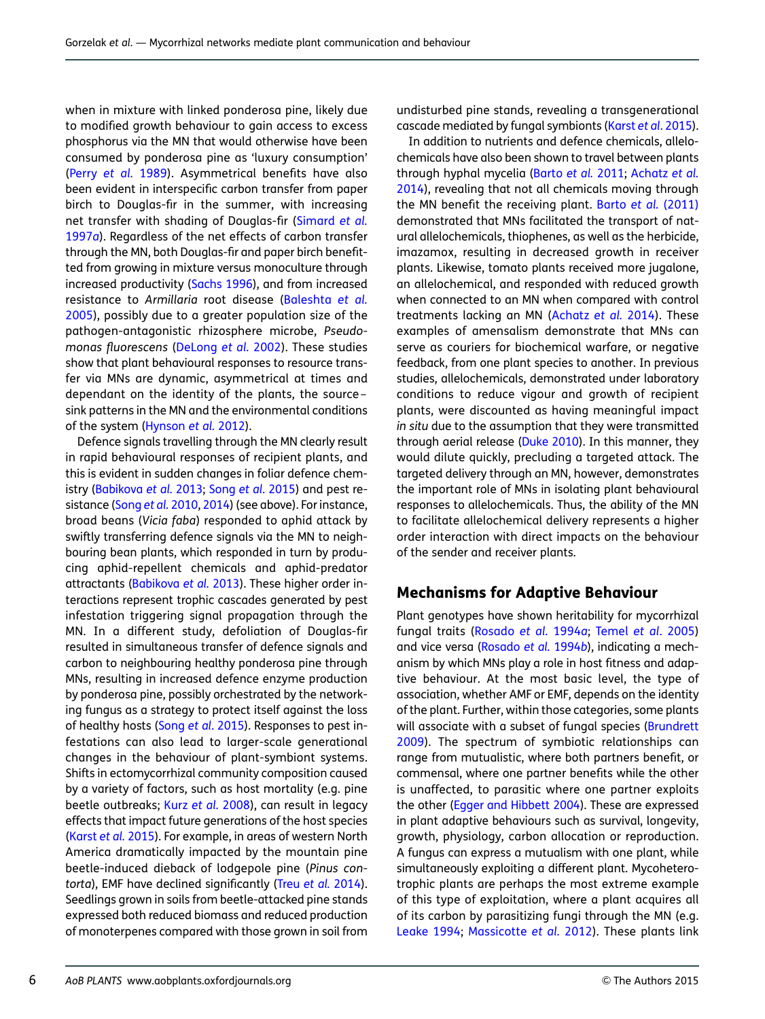when in mixture with linked ponderosa pine, likely due to modified growth behaviour to gain access to excess phosphorus via the MN that would otherwise have been consumed by ponderosa pine as 'luxury consumption' (Perry [et al.](#page-11-0) 1989). Asymmetrical benefits have also been evident in interspecific carbon transfer from paper birch to Douglas-fir in the summer, with increasing net transfer with shading of Douglas-fir ([Simard](#page-11-0) et al. [1997](#page-11-0)a). Regardless of the net effects of carbon transfer through the MN, both Douglas-fir and paper birch benefitted from growing in mixture versus monoculture through increased productivity [\(Sachs 1996\)](#page-11-0), and from increased resistance to Armillaria root disease ([Baleshta](#page-9-0) et al. [2005\)](#page-9-0), possibly due to a greater population size of the pathogen-antagonistic rhizosphere microbe, Pseudomonas fluorescens [\(DeLong](#page-9-0) et al. 2002). These studies show that plant behavioural responses to resource transfer via MNs are dynamic, asymmetrical at times and dependant on the identity of the plants, the source – sink patterns in the MN and the environmental conditions of the system [\(Hynson](#page-10-0) et al. 2012).

Defence signals travelling through the MN clearly result in rapid behavioural responses of recipient plants, and this is evident in sudden changes in foliar defence chemistry [\(Babikova](#page-9-0) et al. 2013; Song et al[. 2015](#page-11-0)) and pest resistance (Song et al. [2010](#page-11-0), [2014\)](#page-11-0) (see above). For instance, broad beans (Vicia faba) responded to aphid attack by swiftly transferring defence signals via the MN to neighbouring bean plants, which responded in turn by producing aphid-repellent chemicals and aphid-predator attractants ([Babikova](#page-9-0) et al. 2013). These higher order interactions represent trophic cascades generated by pest infestation triggering signal propagation through the MN. In a different study, defoliation of Douglas-fir resulted in simultaneous transfer of defence signals and carbon to neighbouring healthy ponderosa pine through MNs, resulting in increased defence enzyme production by ponderosa pine, possibly orchestrated by the networking fungus as a strategy to protect itself against the loss of healthy hosts (Song et al[. 2015](#page-11-0)). Responses to pest infestations can also lead to larger-scale generational changes in the behaviour of plant-symbiont systems. Shifts in ectomycorrhizal community composition caused by a variety of factors, such as host mortality (e.g. pine beetle outbreaks; Kurz et al. [2008\)](#page-10-0), can result in legacy effects that impact future generations of the host species [\(Karst](#page-10-0) et al. 2015). For example, in areas of western North America dramatically impacted by the mountain pine beetle-induced dieback of lodgepole pine (Pinus con-torta), EMF have declined significantly (Treu et al. [2014](#page-12-0)). Seedlings grown in soils from beetle-attacked pine stands expressed both reduced biomass and reduced production of monoterpenes compared with those grown in soil from

undisturbed pine stands, revealing a transgenerational cascade mediated by fungal symbionts (Karst et al[. 2015](#page-10-0)).

In addition to nutrients and defence chemicals, allelochemicals have also been shown to travel between plants through hyphal mycelia ([Barto](#page-9-0) et al. 2011; [Achatz](#page-9-0) et al. [2014](#page-9-0)), revealing that not all chemicals moving through the MN benefit the receiving plant. Barto et al. [\(2011\)](#page-9-0) demonstrated that MNs facilitated the transport of natural allelochemicals, thiophenes, as well as the herbicide, imazamox, resulting in decreased growth in receiver plants. Likewise, tomato plants received more jugalone, an allelochemical, and responded with reduced growth when connected to an MN when compared with control treatments lacking an MN ([Achatz](#page-9-0) et al. 2014). These examples of amensalism demonstrate that MNs can serve as couriers for biochemical warfare, or negative feedback, from one plant species to another. In previous studies, allelochemicals, demonstrated under laboratory conditions to reduce vigour and growth of recipient plants, were discounted as having meaningful impact in situ due to the assumption that they were transmitted through aerial release [\(Duke 2010\)](#page-9-0). In this manner, they would dilute quickly, precluding a targeted attack. The targeted delivery through an MN, however, demonstrates the important role of MNs in isolating plant behavioural responses to allelochemicals. Thus, the ability of the MN to facilitate allelochemical delivery represents a higher order interaction with direct impacts on the behaviour of the sender and receiver plants.

#### Mechanisms for Adaptive Behaviour

Plant genotypes have shown heritability for mycorrhizal fungal traits ([Rosado](#page-11-0) et al. 1994a; Temel et al[. 2005](#page-11-0)) and vice versa ([Rosado](#page-11-0) et al. 1994b), indicating a mechanism by which MNs play a role in host fitness and adaptive behaviour. At the most basic level, the type of association, whether AMF or EMF, depends on the identity of the plant. Further, within those categories, some plants will associate with a subset of fungal species [\(Brundrett](#page-9-0) [2009](#page-9-0)). The spectrum of symbiotic relationships can range from mutualistic, where both partners benefit, or commensal, where one partner benefits while the other is unaffected, to parasitic where one partner exploits the other [\(Egger and Hibbett 2004\)](#page-10-0). These are expressed in plant adaptive behaviours such as survival, longevity, growth, physiology, carbon allocation or reproduction. A fungus can express a mutualism with one plant, while simultaneously exploiting a different plant. Mycoheterotrophic plants are perhaps the most extreme example of this type of exploitation, where a plant acquires all of its carbon by parasitizing fungi through the MN (e.g. [Leake 1994;](#page-10-0) [Massicotte](#page-10-0) et al. 2012). These plants link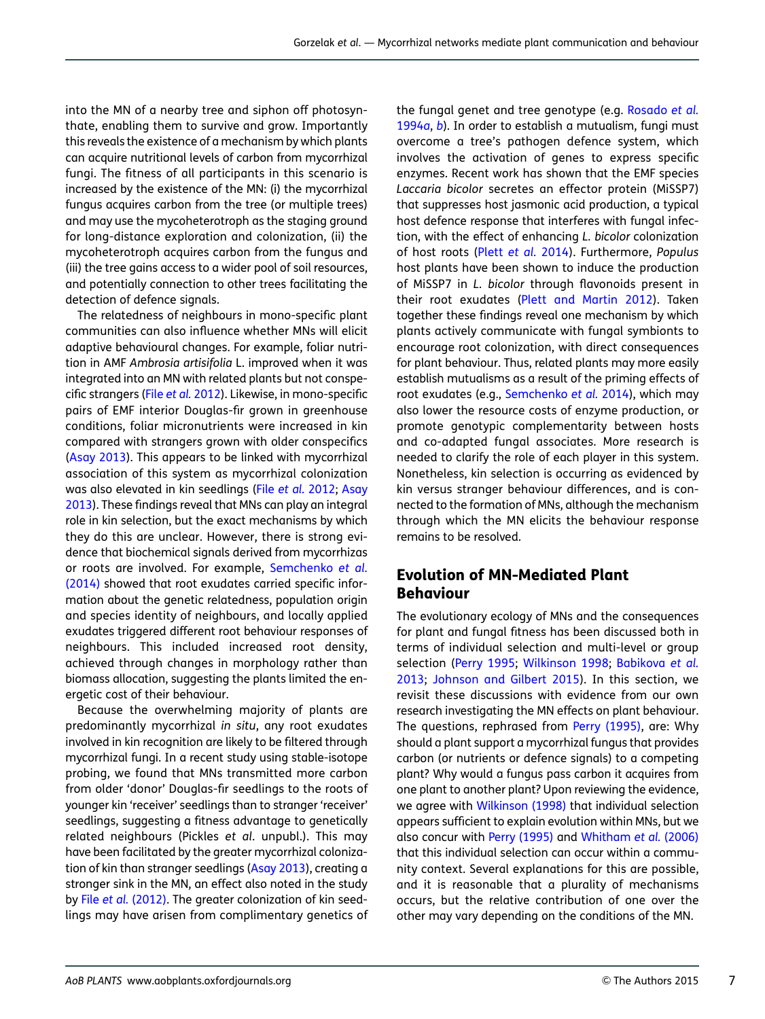into the MN of a nearby tree and siphon off photosynthate, enabling them to survive and grow. Importantly this reveals the existence of a mechanism by which plants can acquire nutritional levels of carbon from mycorrhizal fungi. The fitness of all participants in this scenario is increased by the existence of the MN: (i) the mycorrhizal fungus acquires carbon from the tree (or multiple trees) and may use the mycoheterotroph as the staging ground for long-distance exploration and colonization, (ii) the mycoheterotroph acquires carbon from the fungus and (iii) the tree gains access to a wider pool of soil resources, and potentially connection to other trees facilitating the detection of defence signals.

The relatedness of neighbours in mono-specific plant communities can also influence whether MNs will elicit adaptive behavioural changes. For example, foliar nutrition in AMF Ambrosia artisifolia L. improved when it was integrated into an MN with related plants but not conspecific strangers (File et al. [2012\)](#page-10-0). Likewise, in mono-specific pairs of EMF interior Douglas-fir grown in greenhouse conditions, foliar micronutrients were increased in kin compared with strangers grown with older conspecifics [\(Asay 2013](#page-9-0)). This appears to be linked with mycorrhizal association of this system as mycorrhizal colonization was also elevated in kin seedlings (File et al. [2012](#page-10-0); [Asay](#page-9-0) [2013\)](#page-9-0). These findings reveal that MNs can play an integral role in kin selection, but the exact mechanisms by which they do this are unclear. However, there is strong evidence that biochemical signals derived from mycorrhizas or roots are involved. For example, [Semchenko](#page-11-0) et al. [\(2014\)](#page-11-0) showed that root exudates carried specific information about the genetic relatedness, population origin and species identity of neighbours, and locally applied exudates triggered different root behaviour responses of neighbours. This included increased root density, achieved through changes in morphology rather than biomass allocation, suggesting the plants limited the energetic cost of their behaviour.

Because the overwhelming majority of plants are predominantly mycorrhizal in situ, any root exudates involved in kin recognition are likely to be filtered through mycorrhizal fungi. In a recent study using stable-isotope probing, we found that MNs transmitted more carbon from older 'donor' Douglas-fir seedlings to the roots of younger kin 'receiver' seedlings than to stranger 'receiver' seedlings, suggesting a fitness advantage to genetically related neighbours (Pickles et al. unpubl.). This may have been facilitated by the greater mycorrhizal colonization of kin than stranger seedlings [\(Asay 2013](#page-9-0)), creating a stronger sink in the MN, an effect also noted in the study by File et al. [\(2012\).](#page-10-0) The greater colonization of kin seedlings may have arisen from complimentary genetics of

the fungal genet and tree genotype (e.g. [Rosado](#page-11-0) et al. [1994](#page-11-0)a, [b](#page-11-0)). In order to establish a mutualism, fungi must overcome a tree's pathogen defence system, which involves the activation of genes to express specific enzymes. Recent work has shown that the EMF species Laccaria bicolor secretes an effector protein (MiSSP7) that suppresses host jasmonic acid production, a typical host defence response that interferes with fungal infection, with the effect of enhancing L. bicolor colonization of host roots (Plett [et al.](#page-11-0) 2014). Furthermore, Populus host plants have been shown to induce the production of MiSSP7 in L. bicolor through flavonoids present in their root exudates ([Plett and Martin 2012](#page-11-0)). Taken together these findings reveal one mechanism by which plants actively communicate with fungal symbionts to encourage root colonization, with direct consequences for plant behaviour. Thus, related plants may more easily establish mutualisms as a result of the priming effects of root exudates (e.g., [Semchenko](#page-11-0) et al. 2014), which may also lower the resource costs of enzyme production, or promote genotypic complementarity between hosts and co-adapted fungal associates. More research is needed to clarify the role of each player in this system. Nonetheless, kin selection is occurring as evidenced by kin versus stranger behaviour differences, and is connected to the formation of MNs, although the mechanism through which the MN elicits the behaviour response remains to be resolved.

#### Evolution of MN-Mediated Plant Behaviour

The evolutionary ecology of MNs and the consequences for plant and fungal fitness has been discussed both in terms of individual selection and multi-level or group selection [\(Perry 1995](#page-11-0); [Wilkinson 1998](#page-12-0); [Babikova](#page-9-0) et al. [2013](#page-9-0); [Johnson and Gilbert 2015\)](#page-10-0). In this section, we revisit these discussions with evidence from our own research investigating the MN effects on plant behaviour. The questions, rephrased from [Perry \(1995\)](#page-11-0), are: Why should a plant support a mycorrhizal fungus that provides carbon (or nutrients or defence signals) to a competing plant? Why would a fungus pass carbon it acquires from one plant to another plant? Upon reviewing the evidence, we agree with [Wilkinson \(1998\)](#page-12-0) that individual selection appears sufficient to explain evolution within MNs, but we also concur with [Perry \(1995\)](#page-11-0) and [Whitham](#page-12-0) et al. (2006) that this individual selection can occur within a community context. Several explanations for this are possible, and it is reasonable that a plurality of mechanisms occurs, but the relative contribution of one over the other may vary depending on the conditions of the MN.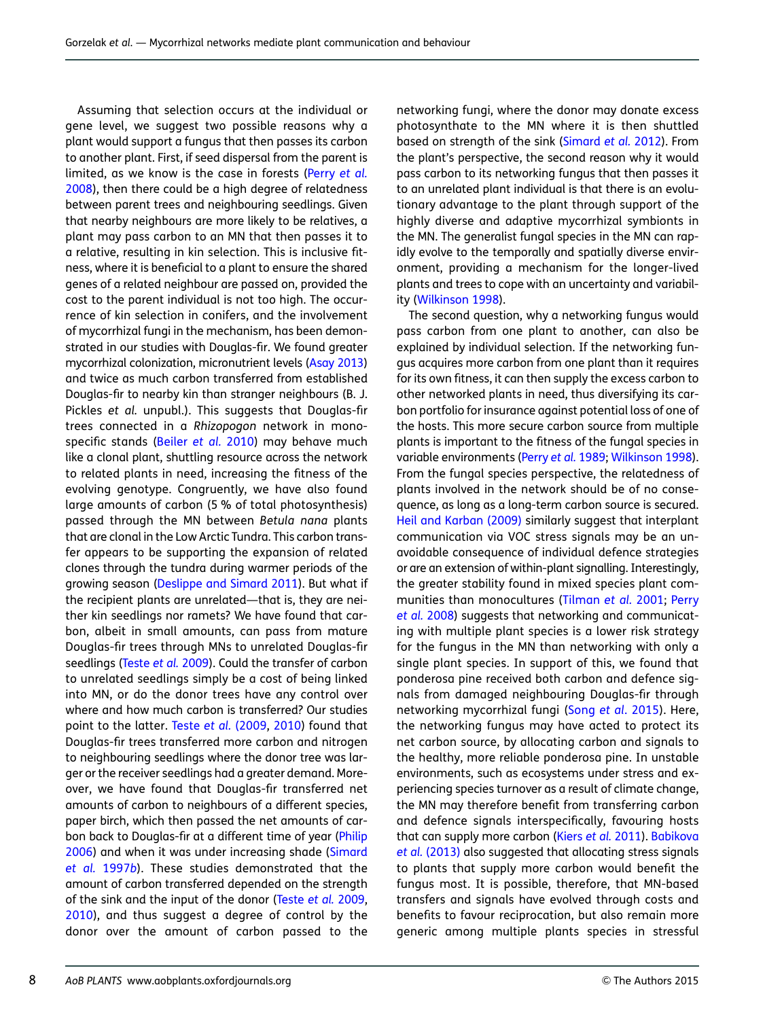Assuming that selection occurs at the individual or gene level, we suggest two possible reasons why a plant would support a fungus that then passes its carbon to another plant. First, if seed dispersal from the parent is limited, as we know is the case in forests (Perry [et al.](#page-11-0) [2008](#page-11-0)), then there could be a high degree of relatedness between parent trees and neighbouring seedlings. Given that nearby neighbours are more likely to be relatives, a plant may pass carbon to an MN that then passes it to a relative, resulting in kin selection. This is inclusive fitness, where it is beneficial to a plant to ensure the shared genes of a related neighbour are passed on, provided the cost to the parent individual is not too high. The occurrence of kin selection in conifers, and the involvement of mycorrhizal fungi in the mechanism, has been demonstrated in our studies with Douglas-fir. We found greater mycorrhizal colonization, micronutrient levels ([Asay 2013](#page-9-0)) and twice as much carbon transferred from established Douglas-fir to nearby kin than stranger neighbours (B. J. Pickles et al. unpubl.). This suggests that Douglas-fir trees connected in a Rhizopogon network in monospecific stands [\(Beiler](#page-9-0) et al. 2010) may behave much like a clonal plant, shuttling resource across the network to related plants in need, increasing the fitness of the evolving genotype. Congruently, we have also found large amounts of carbon (5 % of total photosynthesis) passed through the MN between Betula nana plants that are clonal in the Low Arctic Tundra. This carbon transfer appears to be supporting the expansion of related clones through the tundra during warmer periods of the growing season [\(Deslippe and Simard 2011](#page-9-0)). But what if the recipient plants are unrelated—that is, they are neither kin seedlings nor ramets? We have found that carbon, albeit in small amounts, can pass from mature Douglas-fir trees through MNs to unrelated Douglas-fir seedlings [\(Teste](#page-11-0) et al. 2009). Could the transfer of carbon to unrelated seedlings simply be a cost of being linked into MN, or do the donor trees have any control over where and how much carbon is transferred? Our studies point to the latter. Teste et al. [\(2009,](#page-11-0) [2010\)](#page-12-0) found that Douglas-fir trees transferred more carbon and nitrogen to neighbouring seedlings where the donor tree was larger or the receiver seedlings had a greater demand. Moreover, we have found that Douglas-fir transferred net amounts of carbon to neighbours of a different species, paper birch, which then passed the net amounts of carbon back to Douglas-fir at a different time of year ([Philip](#page-11-0) [2006](#page-11-0)) and when it was under increasing shade ([Simard](#page-11-0) [et al.](#page-11-0) 1997b). These studies demonstrated that the amount of carbon transferred depended on the strength of the sink and the input of the donor ([Teste](#page-11-0) et al. 2009, [2010\)](#page-12-0), and thus suggest a degree of control by the donor over the amount of carbon passed to the

networking fungi, where the donor may donate excess photosynthate to the MN where it is then shuttled based on strength of the sink [\(Simard](#page-11-0) et al. 2012). From the plant's perspective, the second reason why it would pass carbon to its networking fungus that then passes it to an unrelated plant individual is that there is an evolutionary advantage to the plant through support of the highly diverse and adaptive mycorrhizal symbionts in the MN. The generalist fungal species in the MN can rapidly evolve to the temporally and spatially diverse environment, providing a mechanism for the longer-lived plants and trees to cope with an uncertainty and variability ([Wilkinson 1998\)](#page-12-0).

The second question, why a networking fungus would pass carbon from one plant to another, can also be explained by individual selection. If the networking fungus acquires more carbon from one plant than it requires for its own fitness, it can then supply the excess carbon to other networked plants in need, thus diversifying its carbon portfolio for insurance against potential loss of one of the hosts. This more secure carbon source from multiple plants is important to the fitness of the fungal species in variable environments (Perry et al. [1989;](#page-11-0) [Wilkinson 1998](#page-12-0)). From the fungal species perspective, the relatedness of plants involved in the network should be of no consequence, as long as a long-term carbon source is secured. [Heil and Karban \(2009\)](#page-10-0) similarly suggest that interplant communication via VOC stress signals may be an unavoidable consequence of individual defence strategies or are an extension of within-plant signalling. Interestingly, the greater stability found in mixed species plant communities than monocultures [\(Tilman](#page-12-0) et al. 2001; [Perry](#page-11-0) et al. [2008\)](#page-11-0) suggests that networking and communicating with multiple plant species is a lower risk strategy for the fungus in the MN than networking with only a single plant species. In support of this, we found that ponderosa pine received both carbon and defence signals from damaged neighbouring Douglas-fir through networking mycorrhizal fungi (Song et al[. 2015](#page-11-0)). Here, the networking fungus may have acted to protect its net carbon source, by allocating carbon and signals to the healthy, more reliable ponderosa pine. In unstable environments, such as ecosystems under stress and experiencing species turnover as a result of climate change, the MN may therefore benefit from transferring carbon and defence signals interspecifically, favouring hosts that can supply more carbon (Kiers et al. [2011\)](#page-10-0). [Babikova](#page-9-0) et al. [\(2013\)](#page-9-0) also suggested that allocating stress signals to plants that supply more carbon would benefit the fungus most. It is possible, therefore, that MN-based transfers and signals have evolved through costs and benefits to favour reciprocation, but also remain more generic among multiple plants species in stressful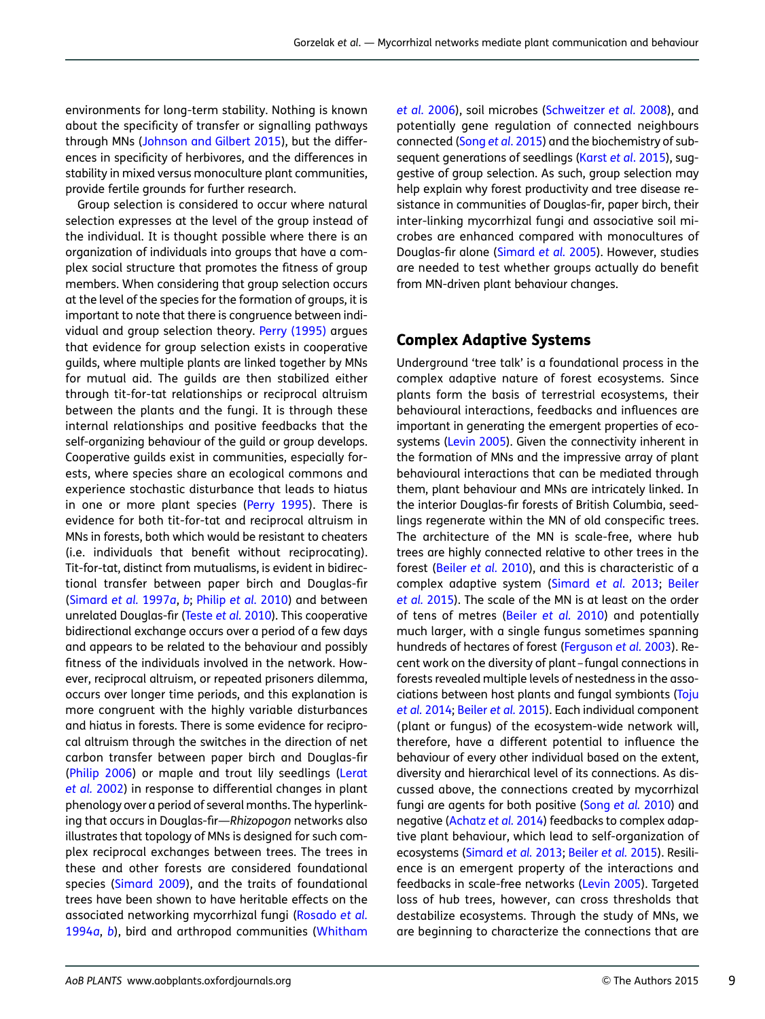environments for long-term stability. Nothing is known about the specificity of transfer or signalling pathways through MNs ([Johnson and Gilbert 2015](#page-10-0)), but the differences in specificity of herbivores, and the differences in stability in mixed versus monoculture plant communities, provide fertile grounds for further research.

Group selection is considered to occur where natural selection expresses at the level of the group instead of the individual. It is thought possible where there is an organization of individuals into groups that have a complex social structure that promotes the fitness of group members. When considering that group selection occurs at the level of the species for the formation of groups, it is important to note that there is congruence between individual and group selection theory. [Perry \(1995\)](#page-11-0) argues that evidence for group selection exists in cooperative guilds, where multiple plants are linked together by MNs for mutual aid. The guilds are then stabilized either through tit-for-tat relationships or reciprocal altruism between the plants and the fungi. It is through these internal relationships and positive feedbacks that the self-organizing behaviour of the guild or group develops. Cooperative guilds exist in communities, especially forests, where species share an ecological commons and experience stochastic disturbance that leads to hiatus in one or more plant species [\(Perry 1995](#page-11-0)). There is evidence for both tit-for-tat and reciprocal altruism in MNs in forests, both which would be resistant to cheaters (i.e. individuals that benefit without reciprocating). Tit-for-tat, distinct from mutualisms, is evident in bidirectional transfer between paper birch and Douglas-fir [\(Simard](#page-11-0) et al. 1997a, [b](#page-11-0); [Philip](#page-11-0) et al. 2010) and between unrelated Douglas-fir [\(Teste](#page-12-0) et al. 2010). This cooperative bidirectional exchange occurs over a period of a few days and appears to be related to the behaviour and possibly fitness of the individuals involved in the network. However, reciprocal altruism, or repeated prisoners dilemma, occurs over longer time periods, and this explanation is more congruent with the highly variable disturbances and hiatus in forests. There is some evidence for reciprocal altruism through the switches in the direction of net carbon transfer between paper birch and Douglas-fir [\(Philip 2006](#page-11-0)) or maple and trout lily seedlings ([Lerat](#page-10-0) [et al.](#page-10-0) 2002) in response to differential changes in plant phenology over a period of several months. The hyperlinking that occurs in Douglas-fir—Rhizopogon networks also illustrates that topology of MNs is designed for such complex reciprocal exchanges between trees. The trees in these and other forests are considered foundational species [\(Simard 2009\)](#page-11-0), and the traits of foundational trees have been shown to have heritable effects on the associated networking mycorrhizal fungi [\(Rosado](#page-11-0) et al. [1994](#page-11-0)a, [b](#page-11-0)), bird and arthropod communities ([Whitham](#page-12-0)

et al. [2006\)](#page-12-0), soil microbes [\(Schweitzer](#page-11-0) et al. 2008), and potentially gene regulation of connected neighbours connected (Song et al[. 2015\)](#page-11-0) and the biochemistry of sub-sequent generations of seedlings (Karst et al[. 2015\)](#page-10-0), suggestive of group selection. As such, group selection may help explain why forest productivity and tree disease resistance in communities of Douglas-fir, paper birch, their inter-linking mycorrhizal fungi and associative soil microbes are enhanced compared with monocultures of Douglas-fir alone [\(Simard](#page-11-0) et al. 2005). However, studies are needed to test whether groups actually do benefit from MN-driven plant behaviour changes.

#### Complex Adaptive Systems

Underground 'tree talk' is a foundational process in the complex adaptive nature of forest ecosystems. Since plants form the basis of terrestrial ecosystems, their behavioural interactions, feedbacks and influences are important in generating the emergent properties of ecosystems ([Levin 2005](#page-10-0)). Given the connectivity inherent in the formation of MNs and the impressive array of plant behavioural interactions that can be mediated through them, plant behaviour and MNs are intricately linked. In the interior Douglas-fir forests of British Columbia, seedlings regenerate within the MN of old conspecific trees. The architecture of the MN is scale-free, where hub trees are highly connected relative to other trees in the forest ([Beiler](#page-9-0) et al. 2010), and this is characteristic of a complex adaptive system ([Simard](#page-11-0) et al. 2013; [Beiler](#page-9-0) et al. [2015\)](#page-9-0). The scale of the MN is at least on the order of tens of metres [\(Beiler](#page-9-0) et al. 2010) and potentially much larger, with a single fungus sometimes spanning hundreds of hectares of forest [\(Ferguson](#page-10-0) et al. 2003). Recent work on the diversity of plant – fungal connections in forests revealed multiple levels of nestedness in the associations between host plants and fungal symbionts [\(Toju](#page-12-0) et al. [2014](#page-12-0); [Beiler](#page-9-0) et al. 2015). Each individual component (plant or fungus) of the ecosystem-wide network will, therefore, have a different potential to influence the behaviour of every other individual based on the extent, diversity and hierarchical level of its connections. As discussed above, the connections created by mycorrhizal fungi are agents for both positive (Song [et al.](#page-11-0) 2010) and negative ([Achatz](#page-9-0) et al. 2014) feedbacks to complex adaptive plant behaviour, which lead to self-organization of ecosystems ([Simard](#page-11-0) et al. 2013; [Beiler](#page-9-0) et al. 2015). Resilience is an emergent property of the interactions and feedbacks in scale-free networks [\(Levin 2005](#page-10-0)). Targeted loss of hub trees, however, can cross thresholds that destabilize ecosystems. Through the study of MNs, we are beginning to characterize the connections that are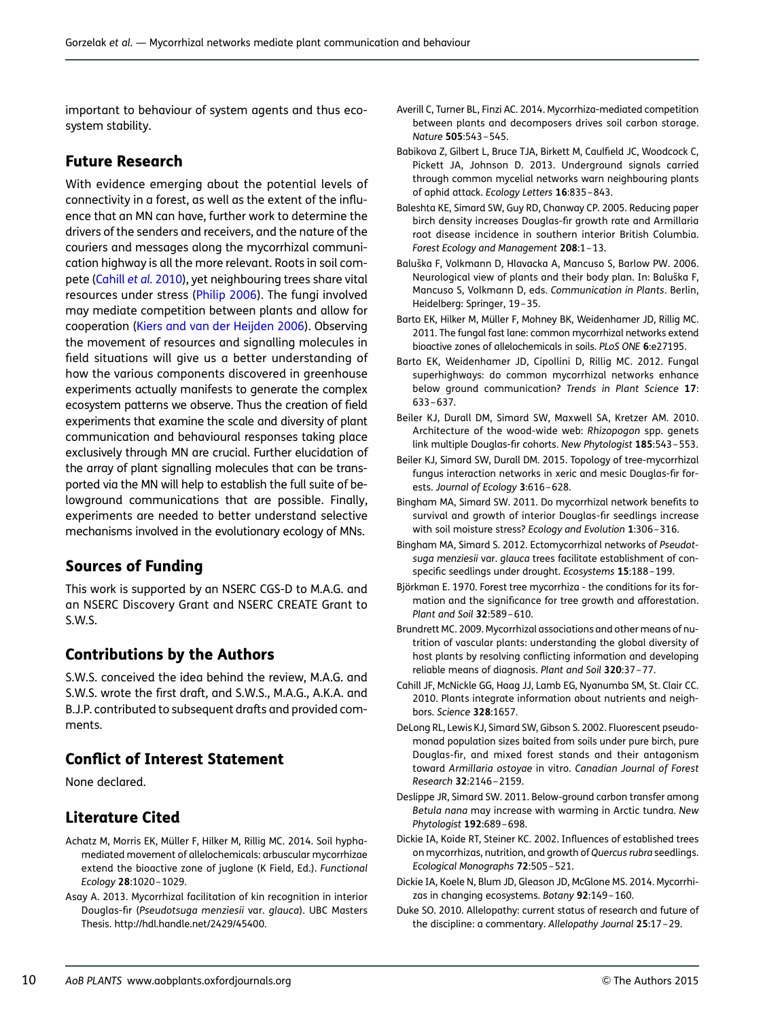<span id="page-9-0"></span>important to behaviour of system agents and thus ecosystem stability.

#### Future Research

With evidence emerging about the potential levels of connectivity in a forest, as well as the extent of the influence that an MN can have, further work to determine the drivers of the senders and receivers, and the nature of the couriers and messages along the mycorrhizal communication highway is all the more relevant. Roots in soil compete (Cahill et al. 2010), yet neighbouring trees share vital resources under stress ([Philip 2006](#page-11-0)). The fungi involved may mediate competition between plants and allow for cooperation [\(Kiers and van der Heijden 2006\)](#page-10-0). Observing the movement of resources and signalling molecules in field situations will give us a better understanding of how the various components discovered in greenhouse experiments actually manifests to generate the complex ecosystem patterns we observe. Thus the creation of field experiments that examine the scale and diversity of plant communication and behavioural responses taking place exclusively through MN are crucial. Further elucidation of the array of plant signalling molecules that can be transported via the MN will help to establish the full suite of belowground communications that are possible. Finally, experiments are needed to better understand selective mechanisms involved in the evolutionary ecology of MNs.

## Sources of Funding

This work is supported by an NSERC CGS-D to M.A.G. and an NSERC Discovery Grant and NSERC CREATE Grant to S.W.S.

#### Contributions by the Authors

S.W.S. conceived the idea behind the review, M.A.G. and S.W.S. wrote the first draft, and S.W.S., M.A.G., A.K.A. and B.J.P. contributed to subsequent drafts and provided comments.

#### Conflict of Interest Statement

None declared.

## Literature Cited

- Achatz M, Morris EK, Müller F, Hilker M, Rillig MC. 2014. Soil hyphamediated movement of allelochemicals: arbuscular mycorrhizae extend the bioactive zone of juglone (K Field, Ed.). Functional Ecology 28:1020 –1029.
- Asay A. 2013. Mycorrhizal facilitation of kin recognition in interior Douglas-fir (Pseudotsuga menziesii var. glauca). UBC Masters Thesis. http://hdl.handle.net/2429/45400.
- Averill C, Turner BL, Finzi AC. 2014. Mycorrhiza-mediated competition between plants and decomposers drives soil carbon storage. Nature 505:543 –545.
- Babikova Z, Gilbert L, Bruce TJA, Birkett M, Caulfield JC, Woodcock C, Pickett JA, Johnson D. 2013. Underground signals carried through common mycelial networks warn neighbouring plants of aphid attack. Ecology Letters 16:835 –843.
- Baleshta KE, Simard SW, Guy RD, Chanway CP. 2005. Reducing paper birch density increases Douglas-fir growth rate and Armillaria root disease incidence in southern interior British Columbia. Forest Ecology and Management 208:1-13.
- Baluška F, Volkmann D, Hlavacka A, Mancuso S, Barlow PW. 2006. Neurological view of plants and their body plan. In: Baluška F, Mancuso S, Volkmann D, eds. Communication in Plants. Berlin, Heidelberg: Springer, 19 –35.
- Barto EK, Hilker M, Müller F, Mohney BK, Weidenhamer JD, Rillig MC. 2011. The fungal fast lane: common mycorrhizal networks extend bioactive zones of allelochemicals in soils. PLoS ONE 6:e27195.
- Barto EK, Weidenhamer JD, Cipollini D, Rillig MC. 2012. Fungal superhighways: do common mycorrhizal networks enhance below ground communication? Trends in Plant Science 17: 633 –637.
- Beiler KJ, Durall DM, Simard SW, Maxwell SA, Kretzer AM. 2010. Architecture of the wood-wide web: Rhizopogon spp. genets link multiple Douglas-fir cohorts. New Phytologist 185:543 –553.
- Beiler KJ, Simard SW, Durall DM. 2015. Topology of tree-mycorrhizal fungus interaction networks in xeric and mesic Douglas-fir forests. Journal of Ecology 3:616 –628.
- Bingham MA, Simard SW. 2011. Do mycorrhizal network benefits to survival and growth of interior Douglas-fir seedlings increase with soil moisture stress? Ecology and Evolution 1:306 –316.
- Bingham MA, Simard S. 2012. Ectomycorrhizal networks of Pseudotsuga menziesii var. glauca trees facilitate establishment of conspecific seedlings under drought. Ecosystems 15:188 –199.
- Björkman E. 1970. Forest tree mycorrhiza the conditions for its formation and the significance for tree growth and afforestation. Plant and Soil 32:589 –610.
- Brundrett MC. 2009. Mycorrhizal associations and other means of nutrition of vascular plants: understanding the global diversity of host plants by resolving conflicting information and developing reliable means of diagnosis. Plant and Soil 320:37 –77.
- Cahill JF, McNickle GG, Haag JJ, Lamb EG, Nyanumba SM, St. Clair CC. 2010. Plants integrate information about nutrients and neighbors. Science 328:1657.
- DeLong RL, Lewis KJ, Simard SW, Gibson S. 2002. Fluorescent pseudomonad population sizes baited from soils under pure birch, pure Douglas-fir, and mixed forest stands and their antagonism toward Armillaria ostoyae in vitro. Canadian Journal of Forest Research 32:2146 –2159.
- Deslippe JR, Simard SW. 2011. Below-ground carbon transfer among Betula nana may increase with warming in Arctic tundra. New Phytologist 192:689 –698.
- Dickie IA, Koide RT, Steiner KC. 2002. Influences of established trees on mycorrhizas, nutrition, and growth of Quercus rubra seedlings. Ecological Monographs 72:505 –521.
- Dickie IA, Koele N, Blum JD, Gleason JD, McGlone MS. 2014. Mycorrhizas in changing ecosystems. Botany 92:149-160.
- Duke SO. 2010. Allelopathy: current status of research and future of the discipline: a commentary. Allelopathy Journal 25:17 –29.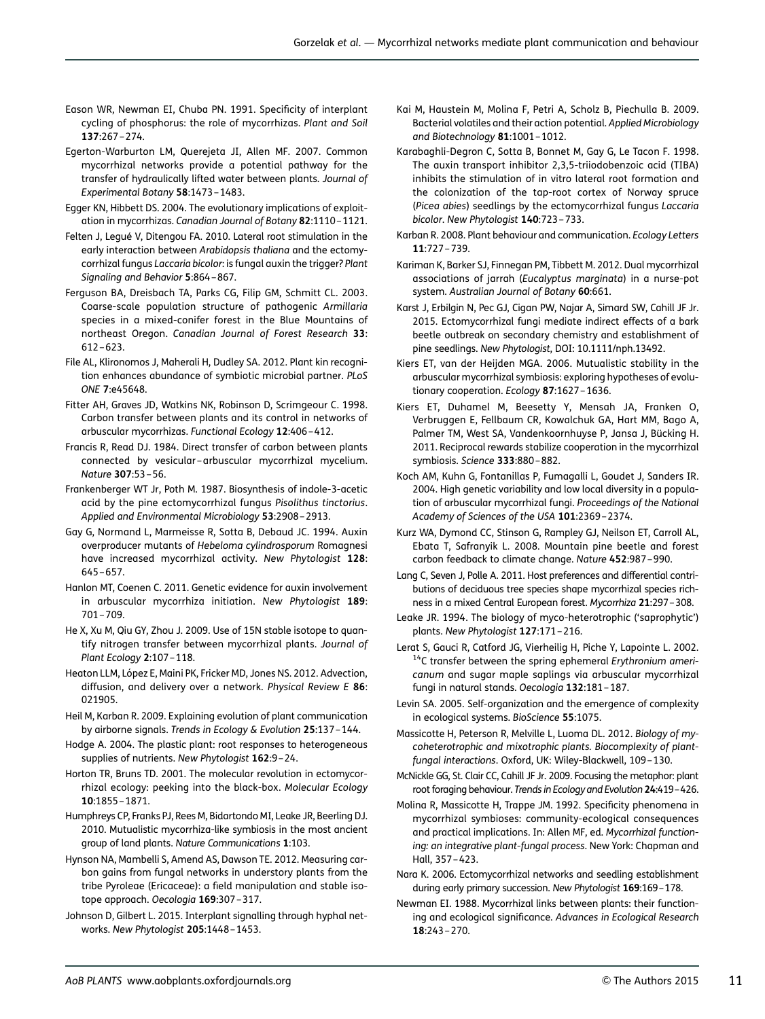- <span id="page-10-0"></span>Eason WR, Newman EI, Chuba PN. 1991. Specificity of interplant cycling of phosphorus: the role of mycorrhizas. Plant and Soil 137:267 –274.
- Egerton-Warburton LM, Querejeta JI, Allen MF. 2007. Common mycorrhizal networks provide a potential pathway for the transfer of hydraulically lifted water between plants. Journal of Experimental Botany 58:1473 –1483.
- Egger KN, Hibbett DS. 2004. The evolutionary implications of exploitation in mycorrhizas. Canadian Journal of Botany 82:1110 –1121.
- Felten J, Legué V, Ditengou FA. 2010. Lateral root stimulation in the early interaction between Arabidopsis thaliana and the ectomycorrhizal fungus Laccaria bicolor: is fungal auxin the trigger? Plant Signaling and Behavior 5:864 –867.
- Ferguson BA, Dreisbach TA, Parks CG, Filip GM, Schmitt CL. 2003. Coarse-scale population structure of pathogenic Armillaria species in a mixed-conifer forest in the Blue Mountains of northeast Oregon. Canadian Journal of Forest Research 33: 612 –623.
- File AL, Klironomos J, Maherali H, Dudley SA. 2012. Plant kin recognition enhances abundance of symbiotic microbial partner. PLoS ONE 7:e45648.
- Fitter AH, Graves JD, Watkins NK, Robinson D, Scrimgeour C. 1998. Carbon transfer between plants and its control in networks of arbuscular mycorrhizas. Functional Ecology 12:406 –412.
- Francis R, Read DJ. 1984. Direct transfer of carbon between plants connected by vesicular – arbuscular mycorrhizal mycelium. Nature 307:53 –56.
- Frankenberger WT Jr, Poth M. 1987. Biosynthesis of indole-3-acetic acid by the pine ectomycorrhizal fungus Pisolithus tinctorius. Applied and Environmental Microbiology 53:2908 –2913.
- Gay G, Normand L, Marmeisse R, Sotta B, Debaud JC. 1994. Auxin overproducer mutants of Hebeloma cylindrosporum Romagnesi have increased mycorrhizal activity. New Phytologist 128: 645 –657.
- Hanlon MT, Coenen C. 2011. Genetic evidence for auxin involvement in arbuscular mycorrhiza initiation. New Phytologist 189: 701 –709.
- He X, Xu M, Qiu GY, Zhou J. 2009. Use of 15N stable isotope to quantify nitrogen transfer between mycorrhizal plants. Journal of Plant Ecology 2:107-118.
- Heaton LLM, López E, Maini PK, Fricker MD, Jones NS. 2012. Advection, diffusion, and delivery over a network. Physical Review E 86: 021905.
- Heil M, Karban R. 2009. Explaining evolution of plant communication by airborne signals. Trends in Ecology & Evolution 25:137 –144.
- Hodge A. 2004. The plastic plant: root responses to heterogeneous supplies of nutrients. New Phytologist 162:9-24.
- Horton TR, Bruns TD. 2001. The molecular revolution in ectomycorrhizal ecology: peeking into the black-box. Molecular Ecology 10:1855 –1871.
- Humphreys CP, Franks PJ, Rees M, Bidartondo MI, Leake JR, Beerling DJ. 2010. Mutualistic mycorrhiza-like symbiosis in the most ancient group of land plants. Nature Communications 1:103.
- Hynson NA, Mambelli S, Amend AS, Dawson TE. 2012. Measuring carbon gains from fungal networks in understory plants from the tribe Pyroleae (Ericaceae): a field manipulation and stable isotope approach. Oecologia 169:307 –317.
- Johnson D, Gilbert L. 2015. Interplant signalling through hyphal networks. New Phytologist 205:1448 –1453.
- Kai M, Haustein M, Molina F, Petri A, Scholz B, Piechulla B. 2009. Bacterial volatiles and their action potential. Applied Microbiology and Biotechnology 81:1001 –1012.
- Karabaghli-Degron C, Sotta B, Bonnet M, Gay G, Le Tacon F. 1998. The auxin transport inhibitor 2,3,5-triiodobenzoic acid (TIBA) inhibits the stimulation of in vitro lateral root formation and the colonization of the tap-root cortex of Norway spruce (Picea abies) seedlings by the ectomycorrhizal fungus Laccaria bicolor. New Phytologist 140:723-733.
- Karban R. 2008. Plant behaviour and communication. Ecology Letters 11:727 –739.
- Kariman K, Barker SJ, Finnegan PM, Tibbett M. 2012. Dual mycorrhizal associations of jarrah (Eucalyptus marginata) in a nurse-pot system. Australian Journal of Botany 60:661.
- Karst J, Erbilgin N, Pec GJ, Cigan PW, Najar A, Simard SW, Cahill JF Jr. 2015. Ectomycorrhizal fungi mediate indirect effects of a bark beetle outbreak on secondary chemistry and establishment of pine seedlings. New Phytologist, DOI: 10.1111/nph.13492.
- Kiers ET, van der Heijden MGA. 2006. Mutualistic stability in the arbuscular mycorrhizal symbiosis: exploring hypotheses of evolutionary cooperation. Ecology 87:1627-1636.
- Kiers ET, Duhamel M, Beesetty Y, Mensah JA, Franken O, Verbruggen E, Fellbaum CR, Kowalchuk GA, Hart MM, Bago A, Palmer TM, West SA, Vandenkoornhuyse P, Jansa J, Bücking H. 2011. Reciprocal rewards stabilize cooperation in the mycorrhizal symbiosis. Science 333:880 –882.
- Koch AM, Kuhn G, Fontanillas P, Fumagalli L, Goudet J, Sanders IR. 2004. High genetic variability and low local diversity in a population of arbuscular mycorrhizal fungi. Proceedings of the National Academy of Sciences of the USA 101:2369 –2374.
- Kurz WA, Dymond CC, Stinson G, Rampley GJ, Neilson ET, Carroll AL, Ebata T, Safranyik L. 2008. Mountain pine beetle and forest carbon feedback to climate change. Nature 452:987 –990.
- Lang C, Seven J, Polle A. 2011. Host preferences and differential contributions of deciduous tree species shape mycorrhizal species richness in a mixed Central European forest. Mycorrhiza 21:297–308.
- Leake JR. 1994. The biology of myco-heterotrophic ('saprophytic') plants. New Phytologist 127:171 –216.
- Lerat S, Gauci R, Catford JG, Vierheilig H, Piche Y, Lapointe L. 2002. <sup>14</sup>C transfer between the spring ephemeral Erythronium americanum and sugar maple saplings via arbuscular mycorrhizal fungi in natural stands. Oecologia 132:181 –187.
- Levin SA. 2005. Self-organization and the emergence of complexity in ecological systems. BioScience 55:1075.
- Massicotte H, Peterson R, Melville L, Luoma DL. 2012. Biology of mycoheterotrophic and mixotrophic plants. Biocomplexity of plantfungal interactions. Oxford, UK: Wiley-Blackwell, 109 –130.
- McNickle GG, St. Clair CC, Cahill JF Jr. 2009. Focusing the metaphor: plant root foraging behaviour. Trends in Ecology and Evolution 24:419–426.
- Molina R, Massicotte H, Trappe JM. 1992. Specificity phenomena in mycorrhizal symbioses: community-ecological consequences and practical implications. In: Allen MF, ed. Mycorrhizal functioning: an integrative plant-fungal process. New York: Chapman and Hall, 357 –423.
- Nara K. 2006. Ectomycorrhizal networks and seedling establishment during early primary succession. New Phytologist 169:169–178.
- Newman EI. 1988. Mycorrhizal links between plants: their functioning and ecological significance. Advances in Ecological Research 18:243 –270.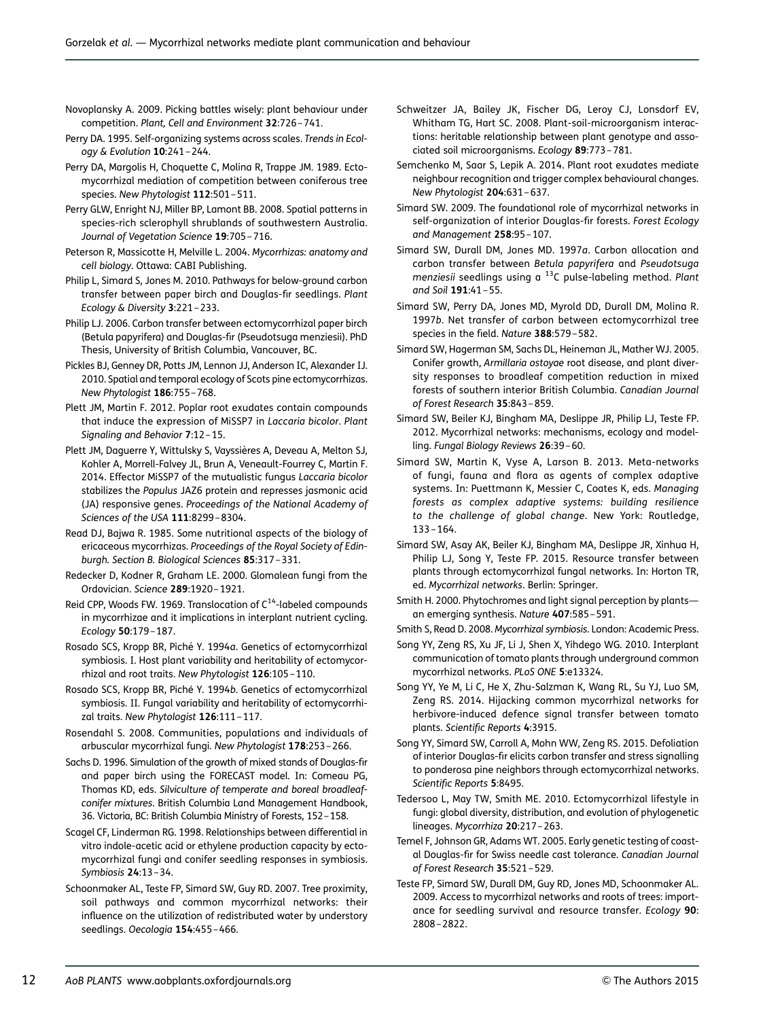- <span id="page-11-0"></span>Novoplansky A. 2009. Picking battles wisely: plant behaviour under competition. Plant, Cell and Environment 32:726 –741.
- Perry DA. 1995. Self-organizing systems across scales. Trends in Ecology & Evolution 10:241 –244.
- Perry DA, Margolis H, Choquette C, Molina R, Trappe JM. 1989. Ectomycorrhizal mediation of competition between coniferous tree species. New Phytologist 112:501 –511.
- Perry GLW, Enright NJ, Miller BP, Lamont BB. 2008. Spatial patterns in species-rich sclerophyll shrublands of southwestern Australia. Journal of Vegetation Science 19:705-716.
- Peterson R, Massicotte H, Melville L. 2004. Mycorrhizas: anatomy and cell biology. Ottawa: CABI Publishing.
- Philip L, Simard S, Jones M. 2010. Pathways for below-ground carbon transfer between paper birch and Douglas-fir seedlings. Plant Ecology & Diversity 3:221 –233.
- Philip LJ. 2006. Carbon transfer between ectomycorrhizal paper birch (Betula papyrifera) and Douglas-fir (Pseudotsuga menziesii). PhD Thesis, University of British Columbia, Vancouver, BC.
- Pickles BJ, Genney DR, Potts JM, Lennon JJ, Anderson IC, Alexander IJ. 2010. Spatial and temporal ecology of Scots pine ectomycorrhizas. New Phytologist 186:755–768.
- Plett JM, Martin F. 2012. Poplar root exudates contain compounds that induce the expression of MiSSP7 in Laccaria bicolor. Plant Signaling and Behavior 7:12–15.
- Plett JM, Daguerre Y, Wittulsky S, Vayssières A, Deveau A, Melton SJ, Kohler A, Morrell-Falvey JL, Brun A, Veneault-Fourrey C, Martin F. 2014. Effector MiSSP7 of the mutualistic fungus Laccaria bicolor stabilizes the Populus JAZ6 protein and represses jasmonic acid (JA) responsive genes. Proceedings of the National Academy of Sciences of the USA 111:8299 –8304.
- Read DJ, Bajwa R. 1985. Some nutritional aspects of the biology of ericaceous mycorrhizas. Proceedings of the Royal Society of Edinburgh. Section B. Biological Sciences 85:317 –331.
- Redecker D, Kodner R, Graham LE. 2000. Glomalean fungi from the Ordovician. Science 289:1920 –1921.
- Reid CPP, Woods FW. 1969. Translocation of  $C^{14}$ -labeled compounds in mycorrhizae and it implications in interplant nutrient cycling. Ecology 50:179 –187.
- Rosado SCS, Kropp BR, Piché Y. 1994a. Genetics of ectomycorrhizal symbiosis. I. Host plant variability and heritability of ectomycorrhizal and root traits. New Phytologist 126:105 –110.
- Rosado SCS, Kropp BR, Piché Y. 1994b. Genetics of ectomycorrhizal symbiosis. II. Fungal variability and heritability of ectomycorrhizal traits. New Phytologist 126:111-117.
- Rosendahl S. 2008. Communities, populations and individuals of arbuscular mycorrhizal fungi. New Phytologist 178:253 –266.
- Sachs D. 1996. Simulation of the growth of mixed stands of Douglas-fir and paper birch using the FORECAST model. In: Comeau PG, Thomas KD, eds. Silviculture of temperate and boreal broadleafconifer mixtures. British Columbia Land Management Handbook, 36. Victoria, BC: British Columbia Ministry of Forests, 152–158.
- Scagel CF, Linderman RG. 1998. Relationships between differential in vitro indole-acetic acid or ethylene production capacity by ectomycorrhizal fungi and conifer seedling responses in symbiosis. Symbiosis 24:13 –34.
- Schoonmaker AL, Teste FP, Simard SW, Guy RD. 2007. Tree proximity, soil pathways and common mycorrhizal networks: their influence on the utilization of redistributed water by understory seedlings. Oecologia 154:455-466.
- Schweitzer JA, Bailey JK, Fischer DG, Leroy CJ, Lonsdorf EV, Whitham TG, Hart SC. 2008. Plant-soil-microorganism interactions: heritable relationship between plant genotype and associated soil microorganisms. Ecology 89:773 –781.
- Semchenko M, Saar S, Lepik A. 2014. Plant root exudates mediate neighbour recognition and trigger complex behavioural changes. New Phytologist 204:631 –637.
- Simard SW. 2009. The foundational role of mycorrhizal networks in self-organization of interior Douglas-fir forests. Forest Ecology and Management 258:95 –107.
- Simard SW, Durall DM, Jones MD. 1997a. Carbon allocation and carbon transfer between Betula papyrifera and Pseudotsuga menziesii seedlings using a  $^{13}$ C pulse-labeling method. Plant and Soil 191:41 –55.
- Simard SW, Perry DA, Jones MD, Myrold DD, Durall DM, Molina R. 1997b. Net transfer of carbon between ectomycorrhizal tree species in the field. Nature 388:579 –582.
- Simard SW, Hagerman SM, Sachs DL, Heineman JL, Mather WJ. 2005. Conifer growth, Armillaria ostoyae root disease, and plant diversity responses to broadleaf competition reduction in mixed forests of southern interior British Columbia. Canadian Journal of Forest Research 35:843 –859.
- Simard SW, Beiler KJ, Bingham MA, Deslippe JR, Philip LJ, Teste FP. 2012. Mycorrhizal networks: mechanisms, ecology and modelling. Fungal Biology Reviews 26:39 –60.
- Simard SW, Martin K, Vyse A, Larson B. 2013. Meta-networks of fungi, fauna and flora as agents of complex adaptive systems. In: Puettmann K, Messier C, Coates K, eds. Managing forests as complex adaptive systems: building resilience to the challenge of global change. New York: Routledge, 133 –164.
- Simard SW, Asay AK, Beiler KJ, Bingham MA, Deslippe JR, Xinhua H, Philip LJ, Song Y, Teste FP. 2015. Resource transfer between plants through ectomycorrhizal fungal networks. In: Horton TR, ed. Mycorrhizal networks. Berlin: Springer.
- Smith H. 2000. Phytochromes and light signal perception by plants an emerging synthesis. Nature 407:585 –591.
- Smith S, Read D. 2008. Mycorrhizal symbiosis. London: Academic Press.
- Song YY, Zeng RS, Xu JF, Li J, Shen X, Yihdego WG. 2010. Interplant communication of tomato plants through underground common mycorrhizal networks. PLoS ONE 5:e13324.
- Song YY, Ye M, Li C, He X, Zhu-Salzman K, Wang RL, Su YJ, Luo SM, Zeng RS. 2014. Hijacking common mycorrhizal networks for herbivore-induced defence signal transfer between tomato plants. Scientific Reports 4:3915.
- Song YY, Simard SW, Carroll A, Mohn WW, Zeng RS. 2015. Defoliation of interior Douglas-fir elicits carbon transfer and stress signalling to ponderosa pine neighbors through ectomycorrhizal networks. Scientific Reports 5:8495.
- Tedersoo L, May TW, Smith ME. 2010. Ectomycorrhizal lifestyle in fungi: global diversity, distribution, and evolution of phylogenetic lineages. Mycorrhiza 20:217 –263.
- Temel F, Johnson GR, Adams WT. 2005. Early genetic testing of coastal Douglas-fir for Swiss needle cast tolerance. Canadian Journal of Forest Research 35:521 –529.
- Teste FP, Simard SW, Durall DM, Guy RD, Jones MD, Schoonmaker AL. 2009. Access to mycorrhizal networks and roots of trees: importance for seedling survival and resource transfer. Ecology 90: 2808 –2822.